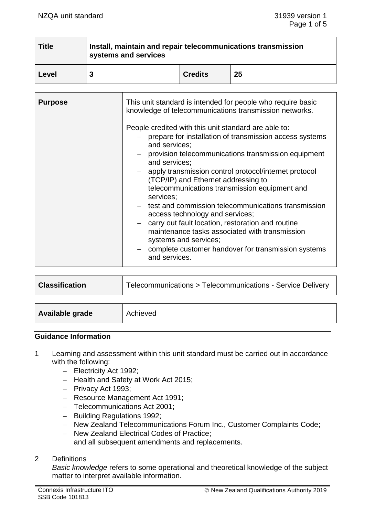| <b>Title</b> | Install, maintain and repair telecommunications transmission<br>systems and services |                |    |
|--------------|--------------------------------------------------------------------------------------|----------------|----|
| Level        |                                                                                      | <b>Credits</b> | 25 |

| <b>Purpose</b> | This unit standard is intended for people who require basic<br>knowledge of telecommunications transmission networks.                                                                                                                                                                                                                                                                                                                                                                                                                                                                                                                                                                      |  |
|----------------|--------------------------------------------------------------------------------------------------------------------------------------------------------------------------------------------------------------------------------------------------------------------------------------------------------------------------------------------------------------------------------------------------------------------------------------------------------------------------------------------------------------------------------------------------------------------------------------------------------------------------------------------------------------------------------------------|--|
|                | People credited with this unit standard are able to:<br>- prepare for installation of transmission access systems<br>and services;<br>provision telecommunications transmission equipment<br>and services;<br>apply transmission control protocol/internet protocol<br>$\equiv$<br>(TCP/IP) and Ethernet addressing to<br>telecommunications transmission equipment and<br>services;<br>- test and commission telecommunications transmission<br>access technology and services;<br>carry out fault location, restoration and routine<br>maintenance tasks associated with transmission<br>systems and services;<br>- complete customer handover for transmission systems<br>and services. |  |

| <b>Classification</b> | Telecommunications > Telecommunications - Service Delivery |
|-----------------------|------------------------------------------------------------|
|-----------------------|------------------------------------------------------------|

| Available grade<br>Achieved |
|-----------------------------|
|-----------------------------|

## **Guidance Information**

- 1 Learning and assessment within this unit standard must be carried out in accordance with the following:
	- − Electricity Act 1992;
	- − Health and Safety at Work Act 2015;
	- − Privacy Act 1993;
	- − Resource Management Act 1991;
	- − Telecommunications Act 2001;
	- − Building Regulations 1992;
	- − New Zealand Telecommunications Forum Inc., Customer Complaints Code;
	- − New Zealand Electrical Codes of Practice; and all subsequent amendments and replacements.

## 2 Definitions

*Basic knowledge* refers to some operational and theoretical knowledge of the subject matter to interpret available information.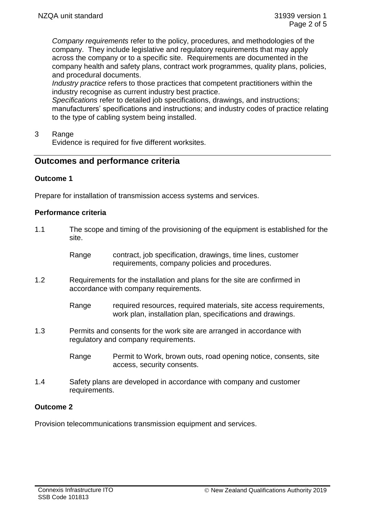*Company requirements* refer to the policy, procedures, and methodologies of the company. They include legislative and regulatory requirements that may apply across the company or to a specific site. Requirements are documented in the company health and safety plans, contract work programmes, quality plans, policies, and procedural documents.

*Industry practice* refers to those practices that competent practitioners within the industry recognise as current industry best practice.

*Specifications* refer to detailed job specifications, drawings, and instructions; manufacturers' specifications and instructions; and industry codes of practice relating to the type of cabling system being installed.

3 Range

Evidence is required for five different worksites.

# **Outcomes and performance criteria**

## **Outcome 1**

Prepare for installation of transmission access systems and services.

## **Performance criteria**

- 1.1 The scope and timing of the provisioning of the equipment is established for the site.
	- Range contract, job specification, drawings, time lines, customer requirements, company policies and procedures.
- 1.2 Requirements for the installation and plans for the site are confirmed in accordance with company requirements.

Range required resources, required materials, site access requirements, work plan, installation plan, specifications and drawings.

- 1.3 Permits and consents for the work site are arranged in accordance with regulatory and company requirements.
	- Range Permit to Work, brown outs, road opening notice, consents, site access, security consents.
- 1.4 Safety plans are developed in accordance with company and customer requirements.

# **Outcome 2**

Provision telecommunications transmission equipment and services.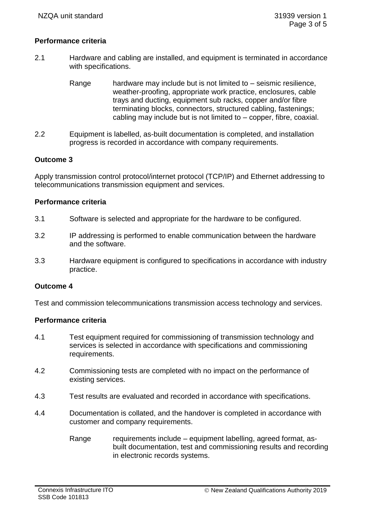## **Performance criteria**

- 2.1 Hardware and cabling are installed, and equipment is terminated in accordance with specifications.
	- Range hardware may include but is not limited to seismic resilience, weather-proofing, appropriate work practice, enclosures, cable trays and ducting, equipment sub racks, copper and/or fibre terminating blocks, connectors, structured cabling, fastenings; cabling may include but is not limited to – copper, fibre, coaxial.
- 2.2 Equipment is labelled, as-built documentation is completed, and installation progress is recorded in accordance with company requirements.

### **Outcome 3**

Apply transmission control protocol/internet protocol (TCP/IP) and Ethernet addressing to telecommunications transmission equipment and services.

#### **Performance criteria**

- 3.1 Software is selected and appropriate for the hardware to be configured.
- 3.2 IP addressing is performed to enable communication between the hardware and the software.
- 3.3 Hardware equipment is configured to specifications in accordance with industry practice.

### **Outcome 4**

Test and commission telecommunications transmission access technology and services.

### **Performance criteria**

- 4.1 Test equipment required for commissioning of transmission technology and services is selected in accordance with specifications and commissioning requirements.
- 4.2 Commissioning tests are completed with no impact on the performance of existing services.
- 4.3 Test results are evaluated and recorded in accordance with specifications.
- 4.4 Documentation is collated, and the handover is completed in accordance with customer and company requirements.
	- Range requirements include equipment labelling, agreed format, asbuilt documentation, test and commissioning results and recording in electronic records systems.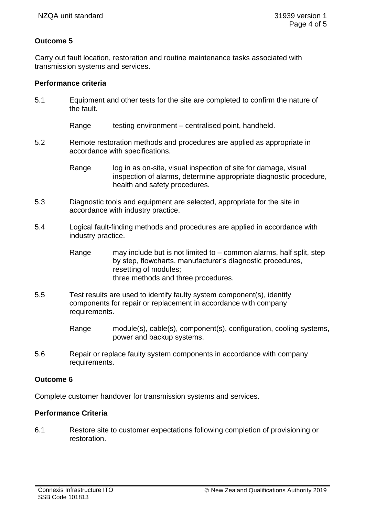## **Outcome 5**

Carry out fault location, restoration and routine maintenance tasks associated with transmission systems and services.

### **Performance criteria**

5.1 Equipment and other tests for the site are completed to confirm the nature of the fault.

Range testing environment – centralised point, handheld.

5.2 Remote restoration methods and procedures are applied as appropriate in accordance with specifications.

> Range log in as on-site, visual inspection of site for damage, visual inspection of alarms, determine appropriate diagnostic procedure, health and safety procedures.

- 5.3 Diagnostic tools and equipment are selected, appropriate for the site in accordance with industry practice.
- 5.4 Logical fault-finding methods and procedures are applied in accordance with industry practice.
	- Range may include but is not limited to common alarms, half split, step by step, flowcharts, manufacturer's diagnostic procedures, resetting of modules; three methods and three procedures.
- 5.5 Test results are used to identify faulty system component(s), identify components for repair or replacement in accordance with company requirements.

Range module(s), cable(s), component(s), configuration, cooling systems, power and backup systems.

5.6 Repair or replace faulty system components in accordance with company requirements.

### **Outcome 6**

Complete customer handover for transmission systems and services.

### **Performance Criteria**

6.1 Restore site to customer expectations following completion of provisioning or restoration.